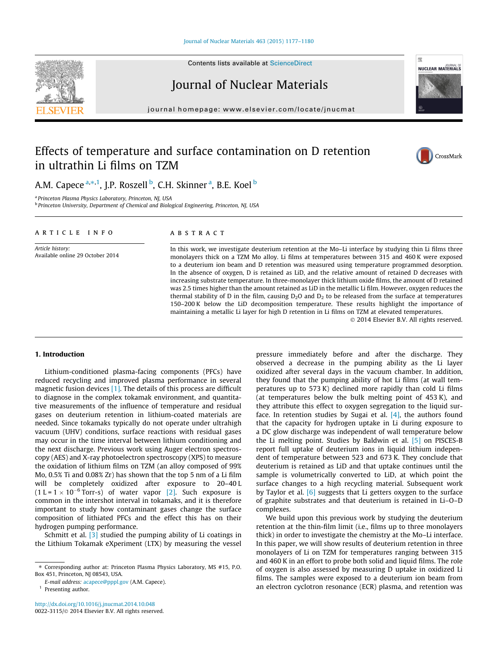#### [Journal of Nuclear Materials 463 \(2015\) 1177–1180](http://dx.doi.org/10.1016/j.jnucmat.2014.10.048)

Contents lists available at [ScienceDirect](http://www.sciencedirect.com/science/journal/00223115)

Journal of Nuclear Materials

journal homepage: [www.elsevier.com/locate/jnucmat](http://www.elsevier.com/locate/jnucmat)

# Effects of temperature and surface contamination on D retention in ultrathin Li films on TZM

A.M. Capece <sup>a, $\ast,$ 1, J.P. Roszell <sup>b</sup>, C.H. Skinner <sup>a</sup>, B.E. Koel <sup>b</sup></sup>

<sup>a</sup> Princeton Plasma Physics Laboratory, Princeton, NJ, USA

**b** Princeton University, Department of Chemical and Biological Engineering, Princeton, NJ, USA

#### article info

Article history: Available online 29 October 2014

## A B S T R A C T

In this work, we investigate deuterium retention at the Mo–Li interface by studying thin Li films three monolayers thick on a TZM Mo alloy. Li films at temperatures between 315 and 460 K were exposed to a deuterium ion beam and D retention was measured using temperature programmed desorption. In the absence of oxygen, D is retained as LiD, and the relative amount of retained D decreases with increasing substrate temperature. In three-monolayer thick lithium oxide films, the amount of D retained was 2.5 times higher than the amount retained as LiD in the metallic Li film. However, oxygen reduces the thermal stability of D in the film, causing  $D_2O$  and  $D_2$  to be released from the surface at temperatures 150–200 K below the LiD decomposition temperature. These results highlight the importance of maintaining a metallic Li layer for high D retention in Li films on TZM at elevated temperatures.

© 2014 Elsevier B.V. All rights reserved.

#### 1. Introduction

Lithium-conditioned plasma-facing components (PFCs) have reduced recycling and improved plasma performance in several magnetic fusion devices [\[1\]](#page-3-0). The details of this process are difficult to diagnose in the complex tokamak environment, and quantitative measurements of the influence of temperature and residual gases on deuterium retention in lithium-coated materials are needed. Since tokamaks typically do not operate under ultrahigh vacuum (UHV) conditions, surface reactions with residual gases may occur in the time interval between lithium conditioning and the next discharge. Previous work using Auger electron spectroscopy (AES) and X-ray photoelectron spectroscopy (XPS) to measure the oxidation of lithium films on TZM (an alloy composed of 99% Mo, 0.5% Ti and 0.08% Zr) has shown that the top 5 nm of a Li film will be completely oxidized after exposure to 20–40 L  $(1 L = 1 \times 10^{-6}$  Torr-s) of water vapor [\[2\]](#page-3-0). Such exposure is common in the intershot interval in tokamaks, and it is therefore important to study how contaminant gases change the surface composition of lithiated PFCs and the effect this has on their hydrogen pumping performance.

Schmitt et al. [\[3\]](#page-3-0) studied the pumping ability of Li coatings in the Lithium Tokamak eXperiment (LTX) by measuring the vessel pressure immediately before and after the discharge. They observed a decrease in the pumping ability as the Li layer oxidized after several days in the vacuum chamber. In addition, they found that the pumping ability of hot Li films (at wall temperatures up to 573 K) declined more rapidly than cold Li films (at temperatures below the bulk melting point of 453 K), and they attribute this effect to oxygen segregation to the liquid surface. In retention studies by Sugai et al.  $[4]$ , the authors found that the capacity for hydrogen uptake in Li during exposure to a DC glow discharge was independent of wall temperature below the Li melting point. Studies by Baldwin et al. [\[5\]](#page-3-0) on PISCES-B report full uptake of deuterium ions in liquid lithium independent of temperature between 523 and 673 K. They conclude that deuterium is retained as LiD and that uptake continues until the sample is volumetrically converted to LiD, at which point the surface changes to a high recycling material. Subsequent work by Taylor et al. [\[6\]](#page-3-0) suggests that Li getters oxygen to the surface of graphite substrates and that deuterium is retained in Li–O–D complexes.

We build upon this previous work by studying the deuterium retention at the thin-film limit (i.e., films up to three monolayers thick) in order to investigate the chemistry at the Mo–Li interface. In this paper, we will show results of deuterium retention in three monolayers of Li on TZM for temperatures ranging between 315 and 460 K in an effort to probe both solid and liquid films. The role of oxygen is also assessed by measuring D uptake in oxidized Li films. The samples were exposed to a deuterium ion beam from an electron cyclotron resonance (ECR) plasma, and retention was







<sup>⇑</sup> Corresponding author at: Princeton Plasma Physics Laboratory, MS #15, P.O. Box 451, Princeton, NJ 08543, USA.

E-mail address: [acapece@pppl.gov](mailto:acapece@pppl.gov) (A.M. Capece).

<sup>&</sup>lt;sup>1</sup> Presenting author.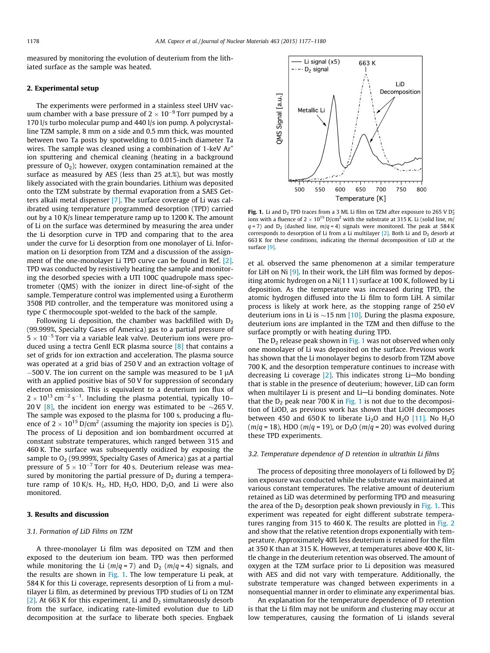measured by monitoring the evolution of deuterium from the lithiated surface as the sample was heated.

### 2. Experimental setup

The experiments were performed in a stainless steel UHV vacuum chamber with a base pressure of 2  $\times$  10<sup>-9</sup> Torr pumped by a 170 l/s turbo molecular pump and 440 l/s ion pump. A polycrystalline TZM sample, 8 mm on a side and 0.5 mm thick, was mounted between two Ta posts by spotwelding to 0.015-inch diameter Ta wires. The sample was cleaned using a combination of 1-keV Ar<sup>+</sup> ion sputtering and chemical cleaning (heating in a background pressure of  $O_2$ ); however, oxygen contamination remained at the surface as measured by AES (less than 25 at.%), but was mostly likely associated with the grain boundaries. Lithium was deposited onto the TZM substrate by thermal evaporation from a SAES Getters alkali metal dispenser [\[7\]](#page-3-0). The surface coverage of Li was calibrated using temperature programmed desorption (TPD) carried out by a 10 K/s linear temperature ramp up to 1200 K. The amount of Li on the surface was determined by measuring the area under the Li desorption curve in TPD and comparing that to the area under the curve for Li desorption from one monolayer of Li. Information on Li desorption from TZM and a discussion of the assignment of the one-monolayer Li TPD curve can be found in Ref. [\[2\].](#page-3-0) TPD was conducted by resistively heating the sample and monitoring the desorbed species with a UTI 100C quadrupole mass spectrometer (QMS) with the ionizer in direct line-of-sight of the sample. Temperature control was implemented using a Eurotherm 3508 PID controller, and the temperature was monitored using a type C thermocouple spot-welded to the back of the sample.

Following Li deposition, the chamber was backfilled with  $D_2$ (99.999%, Specialty Gases of America) gas to a partial pressure of  $5 \times 10^{-5}$  Torr via a variable leak valve. Deuterium ions were produced using a tectra GenII ECR plasma source [\[8\]](#page-3-0) that contains a set of grids for ion extraction and acceleration. The plasma source was operated at a grid bias of 250 V and an extraction voltage of  $-500$  V. The ion current on the sample was measured to be 1  $\mu$ A with an applied positive bias of 50 V for suppression of secondary electron emission. This is equivalent to a deuterium ion flux of  $2 \times 10^{13}$  cm<sup>-2</sup> s<sup>-1</sup>. Including the plasma potential, typically 10-20 V [\[8\]](#page-3-0), the incident ion energy was estimated to be  $\sim$ 265 V. The sample was exposed to the plasma for 100 s, producing a fluence of 2  $\times$  10<sup>15</sup> D/cm<sup>2</sup> (assuming the majority ion species is D<sup>+</sup><sub>2</sub>). The process of Li deposition and ion bombardment occurred at constant substrate temperatures, which ranged between 315 and 460 K. The surface was subsequently oxidized by exposing the sample to  $O_2$  (99.999%, Specialty Gases of America) gas at a partial pressure of  $5 \times 10^{-7}$  Torr for 40 s. Deuterium release was measured by monitoring the partial pressure of  $D_2$  during a temperature ramp of 10 K/s.  $H_2$ , HD,  $H_2O$ , HDO,  $D_2O$ , and Li were also monitored.

## 3. Results and discussion

## 3.1. Formation of LiD Films on TZM

A three-monolayer Li film was deposited on TZM and then exposed to the deuterium ion beam. TPD was then performed while monitoring the Li ( $m/q = 7$ ) and D<sub>2</sub> ( $m/q = 4$ ) signals, and the results are shown in Fig. 1. The low temperature Li peak, at 584 K for this Li coverage, represents desorption of Li from a multilayer Li film, as determined by previous TPD studies of Li on TZM [\[2\]](#page-3-0). At 663 K for this experiment, Li and  $D_2$  simultaneously desorb from the surface, indicating rate-limited evolution due to LiD decomposition at the surface to liberate both species. Engbaek



Fig. 1. Li and  $D_2$  TPD traces from a 3 ML Li film on TZM after exposure to 265 V  $D_2^*$ ions with a fluence of  $2 \times 10^{15}$  D/cm<sup>2</sup> with the substrate at 315 K. Li (solid line, m/  $q = 7$ ) and  $D_2$  (dashed line,  $m/q = 4$ ) signals were monitored. The peak at 584 K corresponds to desorption of Li from a Li multilayer  $[2]$ . Both Li and  $D_2$  desorb at 663 K for these conditions, indicating the thermal decomposition of LiD at the surface [\[9\]](#page-3-0).

et al. observed the same phenomenon at a similar temperature for LiH on Ni [\[9\]](#page-3-0). In their work, the LiH film was formed by depositing atomic hydrogen on a Ni(111) surface at 100 K, followed by Li deposition. As the temperature was increased during TPD, the atomic hydrogen diffused into the Li film to form LiH. A similar process is likely at work here, as the stopping range of 250 eV deuterium ions in Li is  $\sim$ 15 nm [\[10\].](#page-3-0) During the plasma exposure, deuterium ions are implanted in the TZM and then diffuse to the surface promptly or with heating during TPD.

The  $D_2$  release peak shown in Fig. 1 was not observed when only one monolayer of Li was deposited on the surface. Previous work has shown that the Li monolayer begins to desorb from TZM above 700 K, and the desorption temperature continues to increase with decreasing Li coverage  $[2]$ . This indicates strong Li-Mo bonding that is stable in the presence of deuterium; however, LiD can form when multilayer Li is present and Li-Li bonding dominates. Note that the  $D_2$  peak near 700 K in Fig. 1 is not due to the decomposition of LiOD, as previous work has shown that LiOH decomposes between 450 and 650 K to liberate  $Li<sub>2</sub>O$  and  $H<sub>2</sub>O$  [\[11\].](#page-3-0) No  $H<sub>2</sub>O$  $(m/q = 18)$ , HDO  $(m/q = 19)$ , or  $D_2O(m/q = 20)$  was evolved during these TPD experiments.

## 3.2. Temperature dependence of D retention in ultrathin Li films

The process of depositing three monolayers of Li followed by  $D_2^{\ast}$ ion exposure was conducted while the substrate was maintained at various constant temperatures. The relative amount of deuterium retained as LiD was determined by performing TPD and measuring the area of the  $D_2$  desorption peak shown previously in Fig. 1. This experiment was repeated for eight different substrate temperatures ranging from 315 to 460 K. The results are plotted in [Fig. 2](#page-2-0) and show that the relative retention drops exponentially with temperature. Approximately 40% less deuterium is retained for the film at 350 K than at 315 K. However, at temperatures above 400 K, little change in the deuterium retention was observed. The amount of oxygen at the TZM surface prior to Li deposition was measured with AES and did not vary with temperature. Additionally, the substrate temperature was changed between experiments in a nonsequential manner in order to eliminate any experimental bias.

An explanation for the temperature dependence of D retention is that the Li film may not be uniform and clustering may occur at low temperatures, causing the formation of Li islands several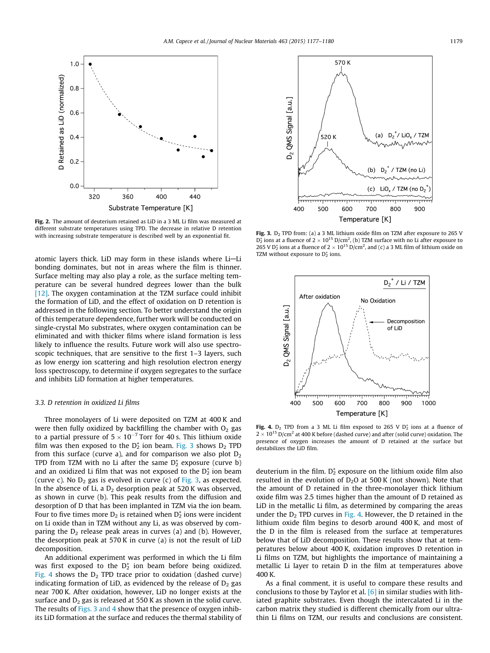<span id="page-2-0"></span>

Fig. 2. The amount of deuterium retained as LiD in a 3 ML Li film was measured at different substrate temperatures using TPD. The decrease in relative D retention with increasing substrate temperature is described well by an exponential fit. **Fig. 3.** D<sub>2</sub> TPD from: (a) a 3 ML lithium oxide film on TZM after exposure to 265 V with increasing substrate temperature is described well

atomic layers thick. LiD may form in these islands where Li-Li bonding dominates, but not in areas where the film is thinner. Surface melting may also play a role, as the surface melting temperature can be several hundred degrees lower than the bulk [\[12\].](#page-3-0) The oxygen contamination at the TZM surface could inhibit the formation of LiD, and the effect of oxidation on D retention is addressed in the following section. To better understand the origin of this temperature dependence, further work will be conducted on single-crystal Mo substrates, where oxygen contamination can be eliminated and with thicker films where island formation is less likely to influence the results. Future work will also use spectroscopic techniques, that are sensitive to the first 1–3 layers, such as low energy ion scattering and high resolution electron energy loss spectroscopy, to determine if oxygen segregates to the surface and inhibits LiD formation at higher temperatures.

#### 3.3. D retention in oxidized Li films

Three monolayers of Li were deposited on TZM at 400 K and were then fully oxidized by backfilling the chamber with  $O<sub>2</sub>$  gas to a partial pressure of  $5 \times 10^{-7}$  Torr for 40 s. This lithium oxide film was then exposed to the  $D_2^+$  ion beam. Fig. 3 shows  $D_2$  TPD from this surface (curve a), and for comparison we also plot  $D_2$ TPD from TZM with no Li after the same  $D_2^+$  exposure (curve b) and an oxidized Li film that was not exposed to the  $D_2^+$  ion beam (curve c). No  $D_2$  gas is evolved in curve (c) of Fig. 3, as expected. In the absence of Li, a  $D_2$  desorption peak at 520 K was observed, as shown in curve (b). This peak results from the diffusion and desorption of D that has been implanted in TZM via the ion beam. Four to five times more  $D_2$  is retained when  $D_2^+$  ions were incident on Li oxide than in TZM without any Li, as was observed by comparing the  $D_2$  release peak areas in curves (a) and (b). However, the desorption peak at 570 K in curve (a) is not the result of LiD decomposition.

An additional experiment was performed in which the Li film was first exposed to the  $D_2^+$  ion beam before being oxidized. Fig. 4 shows the  $D_2$  TPD trace prior to oxidation (dashed curve) indicating formation of LiD, as evidenced by the release of  $D_2$  gas near 700 K. After oxidation, however, LiD no longer exists at the surface and  $D_2$  gas is released at 550 K as shown in the solid curve. The results of Figs. 3 and 4 show that the presence of oxygen inhibits LiD formation at the surface and reduces the thermal stability of



 $D_2^{\star}$  ions at a fluence of 2  $\times$  10<sup>15</sup> D/cm<sup>2</sup>, (b) TZM surface with no Li after exposure to 265 V  $D_2^+$  ions at a fluence of 2  $\times$  10<sup>15</sup> D/cm<sup>2</sup>, and (c) a 3 ML film of lithium oxide on TZM without exposure to  $D_2^+$  ions.



Fig. 4.  $D_2$  TPD from a 3 ML Li film exposed to 265 V  $D_2^+$  ions at a fluence of  $2 \times 10^{15}$  D/cm<sup>2</sup> at 400 K before (dashed curve) and after (solid curve) oxidation. The presence of oxygen increases the amount of D retained at the surface but destabilizes the LiD film.

deuterium in the film.  $D_2^+$  exposure on the lithium oxide film also resulted in the evolution of  $D_2O$  at 500 K (not shown). Note that the amount of D retained in the three-monolayer thick lithium oxide film was 2.5 times higher than the amount of D retained as LiD in the metallic Li film, as determined by comparing the areas under the  $D_2$  TPD curves in Fig. 4. However, the D retained in the lithium oxide film begins to desorb around 400 K, and most of the D in the film is released from the surface at temperatures below that of LiD decomposition. These results show that at temperatures below about 400 K, oxidation improves D retention in Li films on TZM, but highlights the importance of maintaining a metallic Li layer to retain D in the film at temperatures above 400 K.

As a final comment, it is useful to compare these results and conclusions to those by Taylor et al. [\[6\]](#page-3-0) in similar studies with lithiated graphite substrates. Even though the intercalated Li in the carbon matrix they studied is different chemically from our ultrathin Li films on TZM, our results and conclusions are consistent.